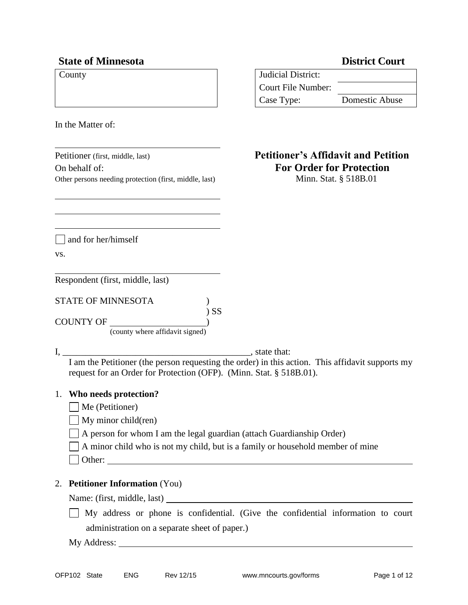# **State of Minnesota District Court**

| County | <b>Judicial District:</b> |                |
|--------|---------------------------|----------------|
|        | Court File Number:        |                |
|        | Case Type:                | Domestic Abuse |

In the Matter of:

On behalf of: **For Order for Protection** Other persons needing protection (first, middle, last) Minn. Stat. § 518B.01

# Petitioner (first, middle, last) **Petitioner's Affidavit and Petition**

and for her/himself vs.

Respondent (first, middle, last)

STATE OF MINNESOTA )

COUNTY OF (county where affidavit signed)

I, \_\_\_\_\_\_\_\_\_\_\_\_\_\_\_\_\_\_\_\_\_\_\_\_\_\_\_\_\_\_\_\_\_\_\_\_\_\_\_\_\_, state that:

I am the Petitioner (the person requesting the order) in this action. This affidavit supports my request for an Order for Protection (OFP). (Minn. Stat. § 518B.01).

# 1. **Who needs protection?**

Me (Petitioner)

My minor child(ren)

A person for whom I am the legal guardian (attach Guardianship Order)

) SS

 $\Box$  A minor child who is not my child, but is a family or household member of mine

Other:

# 2. **Petitioner Information** (You)

Name: (first, middle, last)

My address or phone is confidential. (Give the confidential information to court administration on a separate sheet of paper.)

My Address: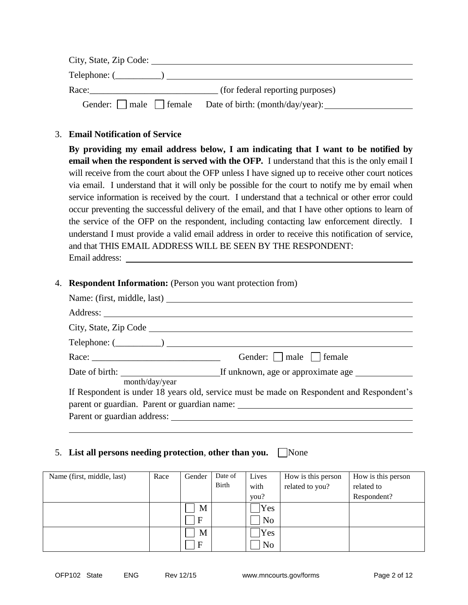| City, State, Zip Code: |                                                                    |
|------------------------|--------------------------------------------------------------------|
| Telephone: (           |                                                                    |
| Race:                  | (for federal reporting purposes)                                   |
|                        | Gender: $\Box$ male $\Box$ female Date of birth: (month/day/year): |

# 3. **Email Notification of Service**

**By providing my email address below, I am indicating that I want to be notified by email when the respondent is served with the OFP.** I understand that this is the only email I will receive from the court about the OFP unless I have signed up to receive other court notices via email. I understand that it will only be possible for the court to notify me by email when service information is received by the court. I understand that a technical or other error could occur preventing the successful delivery of the email, and that I have other options to learn of the service of the OFP on the respondent, including contacting law enforcement directly. I understand I must provide a valid email address in order to receive this notification of service, and that THIS EMAIL ADDRESS WILL BE SEEN BY THE RESPONDENT: Email address:

4. **Respondent Information:** (Person you want protection from)

| $\text{Telephone: } (\_\_\_\_\_\_)$                                                      |                                 |
|------------------------------------------------------------------------------------------|---------------------------------|
|                                                                                          | Gender:       male       female |
|                                                                                          |                                 |
| month/day/year                                                                           |                                 |
| If Respondent is under 18 years old, service must be made on Respondent and Respondent's |                                 |
|                                                                                          |                                 |
|                                                                                          |                                 |
|                                                                                          |                                 |

### 5. List all persons needing protection, other than you. | None

| Name (first, middle, last) | Race | Gender   | Date of | Lives          | How is this person | How is this person |
|----------------------------|------|----------|---------|----------------|--------------------|--------------------|
|                            |      |          | Birth   | with           | related to you?    | related to         |
|                            |      |          |         | you?           |                    | Respondent?        |
|                            |      | M        |         | Yes            |                    |                    |
|                            |      | ı F      |         | N <sub>o</sub> |                    |                    |
|                            |      | M        |         | Yes            |                    |                    |
|                            |      | $\Gamma$ |         | N <sub>o</sub> |                    |                    |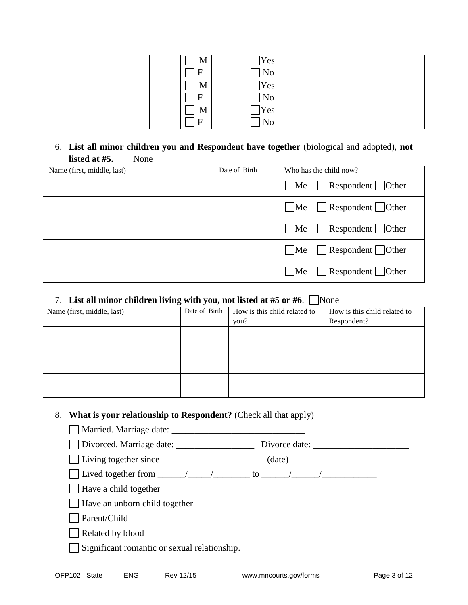| M<br>$\mathbf{F}$       | Yes<br>$\rm No$       |  |
|-------------------------|-----------------------|--|
| M<br>$\mathbf{F}$       | Yes<br>N <sub>o</sub> |  |
| M<br>$\mathbf{E}$<br>л. | Yes<br>$\rm No$       |  |

# 6. **List all minor children you and Respondent have together** (biological and adopted), **not listed at #5.** None

| Name (first, middle, last) | Date of Birth | Who has the child now?                  |
|----------------------------|---------------|-----------------------------------------|
|                            |               | $\Box$ Respondent $\Box$ Other<br>Me    |
|                            |               | Respondent Other<br>Me                  |
|                            |               | $\Box$ Respondent $\Box$ Other<br>Me    |
|                            |               | $\Box$ Respondent $\Box$ Other<br>$M$ e |
|                            |               | $\Box$ Respondent $\Box$ Other<br>Me    |

# 7. List all minor children living with you, not listed at #5 or #6. None

| Name (first, middle, last) | Date of Birth | How is this child related to | How is this child related to |
|----------------------------|---------------|------------------------------|------------------------------|
|                            |               | you?                         | Respondent?                  |
|                            |               |                              |                              |
|                            |               |                              |                              |
|                            |               |                              |                              |
|                            |               |                              |                              |
|                            |               |                              |                              |
|                            |               |                              |                              |

### 8. **What is your relationship to Respondent?** (Check all that apply)

Married. Marriage date:

Divorced. Marriage date: \_\_\_\_\_\_\_\_\_\_\_\_\_\_\_\_\_ Divorce date: \_\_\_\_\_\_\_\_\_\_\_\_\_\_\_\_\_\_\_\_\_

Living together since \_\_\_\_\_\_\_\_\_\_\_\_\_\_\_\_\_\_\_\_\_\_\_(date)

| Lived together from |  |
|---------------------|--|
|                     |  |

- **■** Have a child together
- Have an unborn child together
- Parent/Child
- Related by blood
- Significant romantic or sexual relationship.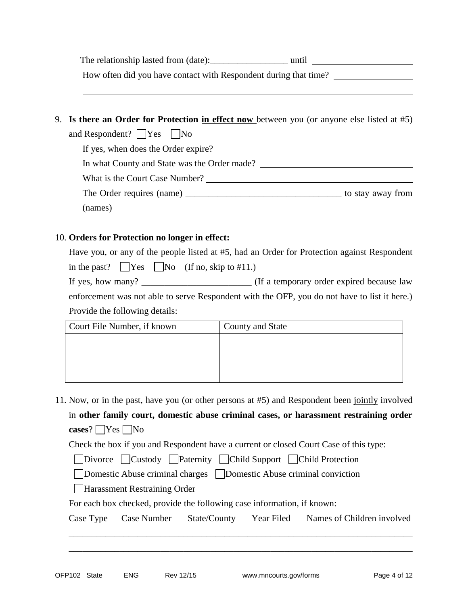The relationship lasted from (date):\_\_\_\_\_\_\_\_\_\_\_\_\_\_\_\_\_ until How often did you have contact with Respondent during that time?

9. **Is there an Order for Protection in effect now** between you (or anyone else listed at #5) and Respondent?  $\Box$  Yes  $\Box$  No If yes, when does the Order expire? In what County and State was the Order made? What is the Court Case Number? The Order requires (name) \_\_\_\_\_\_\_\_\_\_\_\_\_\_\_\_\_\_\_\_\_\_\_\_\_\_\_\_\_\_\_\_\_\_ to stay away from (names)

### 10. **Orders for Protection no longer in effect:**

Have you, or any of the people listed at #5, had an Order for Protection against Respondent in the past?  $\Box$  Yes  $\Box$  No (If no, skip to #11.) If yes, how many? \_\_\_\_\_\_\_\_\_\_\_\_\_\_\_\_\_\_\_\_\_\_\_\_ (If a temporary order expired because law enforcement was not able to serve Respondent with the OFP, you do not have to list it here.) Provide the following details:

| Court File Number, if known | County and State |
|-----------------------------|------------------|
|                             |                  |
|                             |                  |
|                             |                  |
|                             |                  |

11. Now, or in the past, have you (or other persons at #5) and Respondent been jointly involved in **other family court, domestic abuse criminal cases, or harassment restraining order cases**? Yes No

Check the box if you and Respondent have a current or closed Court Case of this type:

Divorce Custody Paternity Child Support Child Protection

Domestic Abuse criminal charges Domestic Abuse criminal conviction

Harassment Restraining Order

For each box checked, provide the following case information, if known:

|  |  | Case Type Case Number State/County Year Filed Names of Children involved |
|--|--|--------------------------------------------------------------------------|
|  |  |                                                                          |

\_\_\_\_\_\_\_\_\_\_\_\_\_\_\_\_\_\_\_\_\_\_\_\_\_\_\_\_\_\_\_\_\_\_\_\_\_\_\_\_\_\_\_\_\_\_\_\_\_\_\_\_\_\_\_\_\_\_\_\_\_\_\_\_\_\_\_\_\_\_\_\_\_\_\_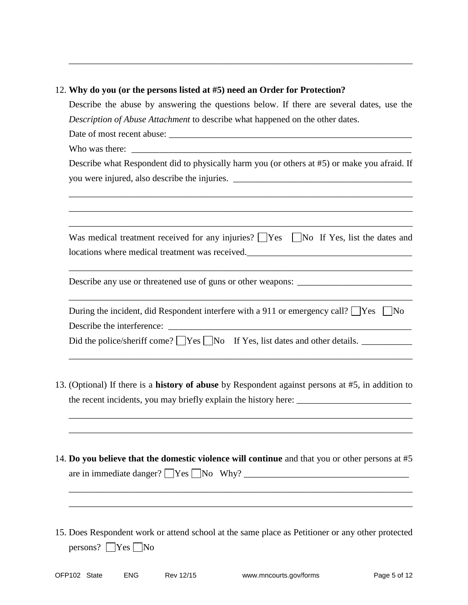# 12. **Why do you (or the persons listed at #5) need an Order for Protection?**

\_\_\_\_\_\_\_\_\_\_\_\_\_\_\_\_\_\_\_\_\_\_\_\_\_\_\_\_\_\_\_\_\_\_\_\_\_\_\_\_\_\_\_\_\_\_\_\_\_\_\_\_\_\_\_\_\_\_\_\_\_\_\_\_\_\_\_\_\_\_\_\_\_\_\_

| Describe the abuse by answering the questions below. If there are several dates, use the                 |
|----------------------------------------------------------------------------------------------------------|
| Description of Abuse Attachment to describe what happened on the other dates.                            |
|                                                                                                          |
|                                                                                                          |
| Describe what Respondent did to physically harm you (or others at #5) or make you afraid. If             |
|                                                                                                          |
|                                                                                                          |
| Was medical treatment received for any injuries? $\Box$ Yes $\Box$ No If Yes, list the dates and         |
| locations where medical treatment was received.                                                          |
|                                                                                                          |
| During the incident, did Respondent interfere with a 911 or emergency call? $\Box$ Yes $\Box$ No         |
| Did the police/sheriff come? $\Box$ Yes $\Box$ No If Yes, list dates and other details. $\Box$           |
| 13. (Optional) If there is a <b>history of abuse</b> by Respondent against persons at #5, in addition to |
| 14. Do you believe that the domestic violence will continue and that you or other persons at #5          |
|                                                                                                          |

15. Does Respondent work or attend school at the same place as Petitioner or any other protected persons?  $\Box$  Yes  $\Box$  No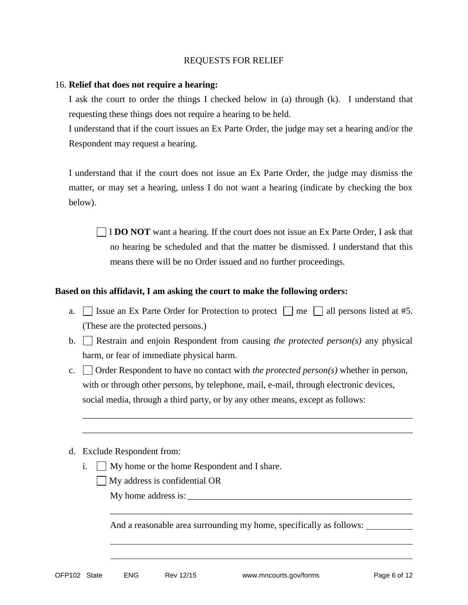#### REQUESTS FOR RELIEF

#### 16. **Relief that does not require a hearing:**

I ask the court to order the things I checked below in (a) through (k). I understand that requesting these things does not require a hearing to be held.

I understand that if the court issues an Ex Parte Order, the judge may set a hearing and/or the Respondent may request a hearing.

I understand that if the court does not issue an Ex Parte Order, the judge may dismiss the matter, or may set a hearing, unless I do not want a hearing (indicate by checking the box below).

 $\vert \vert$  **IDO NOT** want a hearing. If the court does not issue an Ex Parte Order, I ask that no hearing be scheduled and that the matter be dismissed. I understand that this means there will be no Order issued and no further proceedings.

#### **Based on this affidavit, I am asking the court to make the following orders:**

- a. Issue an Ex Parte Order for Protection to protect  $\Box$  me  $\Box$  all persons listed at #5. (These are the protected persons.)
- b. Restrain and enjoin Respondent from causing *the protected person(s)* any physical harm, or fear of immediate physical harm.
- c.  $\Box$  Order Respondent to have no contact with *the protected person(s)* whether in person, with or through other persons, by telephone, mail, e-mail, through electronic devices, social media, through a third party, or by any other means, except as follows:

\_\_\_\_\_\_\_\_\_\_\_\_\_\_\_\_\_\_\_\_\_\_\_\_\_\_\_\_\_\_\_\_\_\_\_\_\_\_\_\_\_\_\_\_\_\_\_\_\_\_\_\_\_\_\_\_\_\_\_\_\_\_\_\_\_\_\_\_\_\_\_\_ \_\_\_\_\_\_\_\_\_\_\_\_\_\_\_\_\_\_\_\_\_\_\_\_\_\_\_\_\_\_\_\_\_\_\_\_\_\_\_\_\_\_\_\_\_\_\_\_\_\_\_\_\_\_\_\_\_\_\_\_\_\_\_\_\_\_\_\_\_\_\_\_

### d. Exclude Respondent from:

- i. My home or the home Respondent and I share. .
	- My address is confidential OR

My home address is:  $\overline{\phantom{a}}$ 

And a reasonable area surrounding my home, specifically as follows:

\_\_\_\_\_\_\_\_\_\_\_\_\_\_\_\_\_\_\_\_\_\_\_\_\_\_\_\_\_\_\_\_\_\_\_\_\_\_\_\_\_\_\_\_\_\_\_\_\_\_\_\_\_\_\_\_\_\_\_\_\_\_\_\_\_\_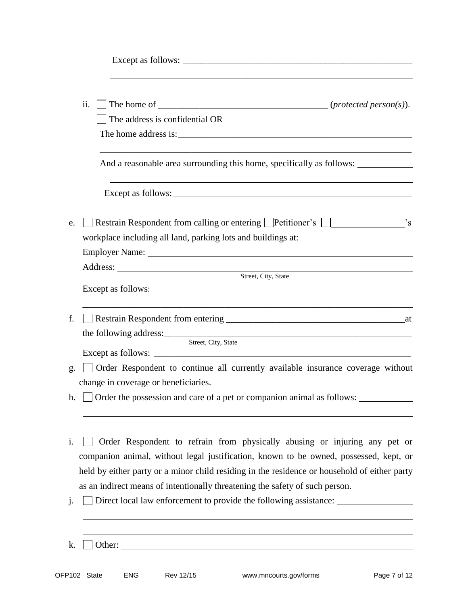|          | ii. | The home of $\sqrt{\frac{1}{r}}$ (protected person(s)).<br>The address is confidential OR<br>The home address is: example and the set of the set of the set of the set of the set of the set of the set of the set of the set of the set of the set of the set of the set of the set of the set of the set of the set of th                                                                                              |  |
|----------|-----|--------------------------------------------------------------------------------------------------------------------------------------------------------------------------------------------------------------------------------------------------------------------------------------------------------------------------------------------------------------------------------------------------------------------------|--|
|          |     | And a reasonable area surrounding this home, specifically as follows:                                                                                                                                                                                                                                                                                                                                                    |  |
|          |     | <u> 1989 - Johann Barn, amerikan besteman besteman besteman besteman besteman besteman besteman besteman besteman</u>                                                                                                                                                                                                                                                                                                    |  |
| e.       |     | Restrain Respondent from calling or entering [Petitioner's [D] [Petitioner's contract to the system of the system of the system of the system of the system of the system of the system of the system of the system of the sys<br>workplace including all land, parking lots and buildings at:                                                                                                                           |  |
|          |     |                                                                                                                                                                                                                                                                                                                                                                                                                          |  |
|          |     | ,我们也不能在这里的时候,我们也不能在这里的时候,我们也不能会在这里的时候,我们也不能会在这里的时候,我们也不能会在这里的时候,我们也不能会在这里的时候,我们也不                                                                                                                                                                                                                                                                                                                                        |  |
| f.       |     |                                                                                                                                                                                                                                                                                                                                                                                                                          |  |
|          |     | Street, City, State                                                                                                                                                                                                                                                                                                                                                                                                      |  |
|          |     |                                                                                                                                                                                                                                                                                                                                                                                                                          |  |
| g.       |     | $\Box$ Order Respondent to continue all currently available insurance coverage without<br>change in coverage or beneficiaries.                                                                                                                                                                                                                                                                                           |  |
|          |     | h. $\Box$ Order the possession and care of a pet or companion animal as follows:                                                                                                                                                                                                                                                                                                                                         |  |
| i.<br>j. |     | Order Respondent to refrain from physically abusing or injuring any pet or<br>companion animal, without legal justification, known to be owned, possessed, kept, or<br>held by either party or a minor child residing in the residence or household of either party<br>as an indirect means of intentionally threatening the safety of such person.<br>Direct local law enforcement to provide the following assistance: |  |
| k.       |     | Other: $\overline{\phantom{a}}$                                                                                                                                                                                                                                                                                                                                                                                          |  |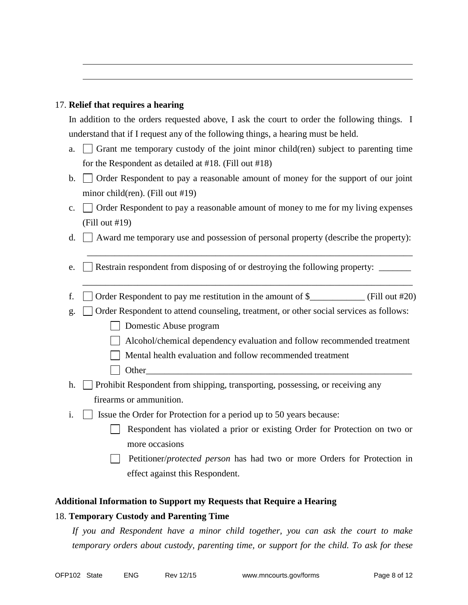#### 17. **Relief that requires a hearing**

 In addition to the orders requested above, I ask the court to order the following things. I understand that if I request any of the following things, a hearing must be held.

- a.  $\Box$  Grant me temporary custody of the joint minor child(ren) subject to parenting time for the Respondent as detailed at #18. (Fill out #18)
- b.  $\vert$  Order Respondent to pay a reasonable amount of money for the support of our joint minor child(ren). (Fill out #19)
- c.  $\vert$  Order Respondent to pay a reasonable amount of money to me for my living expenses (Fill out #19)
- d.  $\Box$  Award me temporary use and possession of personal property (describe the property):  $\overline{\phantom{a}}$  ,  $\overline{\phantom{a}}$  ,  $\overline{\phantom{a}}$  ,  $\overline{\phantom{a}}$  ,  $\overline{\phantom{a}}$  ,  $\overline{\phantom{a}}$  ,  $\overline{\phantom{a}}$  ,  $\overline{\phantom{a}}$  ,  $\overline{\phantom{a}}$  ,  $\overline{\phantom{a}}$  ,  $\overline{\phantom{a}}$  ,  $\overline{\phantom{a}}$  ,  $\overline{\phantom{a}}$  ,  $\overline{\phantom{a}}$  ,  $\overline{\phantom{a}}$  ,  $\overline{\phantom{a}}$
- e. Restrain respondent from disposing of or destroying the following property:  $\Box$
- f.  $\Box$  Order Respondent to pay me restitution in the amount of \$\_\_\_\_\_\_\_\_\_\_\_\_\_\_\_\_ (Fill out #20)

 $\overline{\phantom{a}}$  ,  $\overline{\phantom{a}}$  ,  $\overline{\phantom{a}}$  ,  $\overline{\phantom{a}}$  ,  $\overline{\phantom{a}}$  ,  $\overline{\phantom{a}}$  ,  $\overline{\phantom{a}}$  ,  $\overline{\phantom{a}}$  ,  $\overline{\phantom{a}}$  ,  $\overline{\phantom{a}}$  ,  $\overline{\phantom{a}}$  ,  $\overline{\phantom{a}}$  ,  $\overline{\phantom{a}}$  ,  $\overline{\phantom{a}}$  ,  $\overline{\phantom{a}}$  ,  $\overline{\phantom{a}}$ 

- g.  $\Box$  Order Respondent to attend counseling, treatment, or other social services as follows:
	- **Domestic Abuse program**
	- Alcohol/chemical dependency evaluation and follow recommended treatment
	- Mental health evaluation and follow recommended treatment
	- $\Box$  Other
- h. Prohibit Respondent from shipping, transporting, possessing, or receiving any firearms or ammunition.
- i.  $\Box$  Issue the Order for Protection for a period up to 50 years because:
	- Respondent has violated a prior or existing Order for Protection on two or more occasions
	- Petitioner/*protected person* has had two or more Orders for Protection in effect against this Respondent.

### **Additional Information to Support my Requests that Require a Hearing**

### 18. **Temporary Custody and Parenting Time**

*If you and Respondent have a minor child together, you can ask the court to make temporary orders about custody, parenting time, or support for the child. To ask for these*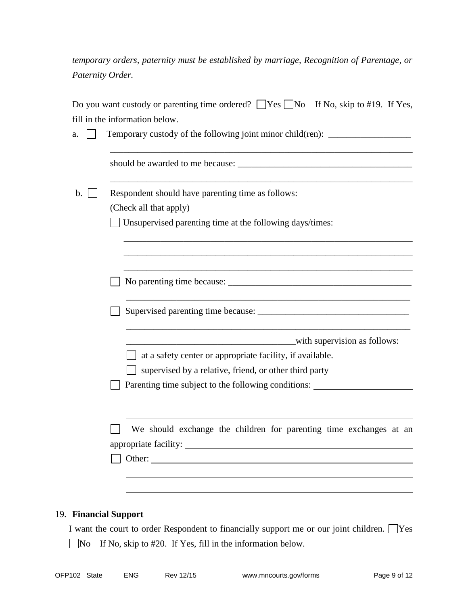*temporary orders, paternity must be established by marriage, Recognition of Parentage, or Paternity Order.* 

| b. | Respondent should have parenting time as follows:                                                                                                     |
|----|-------------------------------------------------------------------------------------------------------------------------------------------------------|
|    | (Check all that apply)                                                                                                                                |
|    | Unsupervised parenting time at the following days/times:                                                                                              |
|    |                                                                                                                                                       |
|    |                                                                                                                                                       |
|    |                                                                                                                                                       |
|    | with supervision as follows:<br><u> 2002 - Johann Johann Stoff, deutscher Stoffen und der Stoffen und der Stoffen und der Stoffen und der Stoffen</u> |
|    | at a safety center or appropriate facility, if available.                                                                                             |
|    | supervised by a relative, friend, or other third party                                                                                                |
|    | Parenting time subject to the following conditions:                                                                                                   |
|    | We should exchange the children for parenting time exchanges at an                                                                                    |
|    | appropriate facility:                                                                                                                                 |
|    | Other:                                                                                                                                                |

### 19. **Financial Support**

I want the court to order Respondent to financially support me or our joint children.  $\Box$  Yes No If No, skip to #20. If Yes, fill in the information below.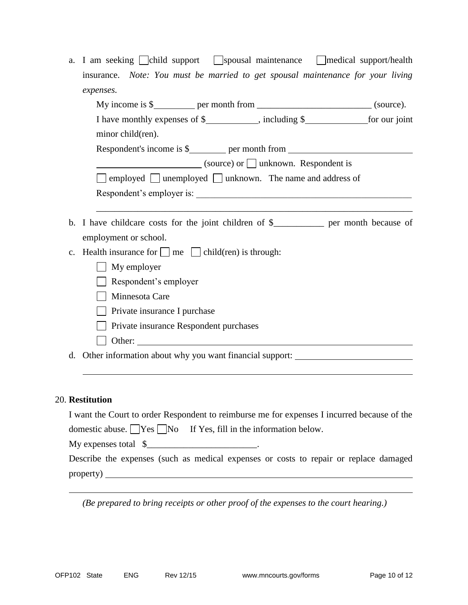| a. I am seeking child support Spousal maintenance medical support/health                 |  |
|------------------------------------------------------------------------------------------|--|
| insurance. Note: You must be married to get spousal maintenance for your living          |  |
| expenses.                                                                                |  |
|                                                                                          |  |
| I have monthly expenses of \$_____________, including \$_______________ for our joint    |  |
| minor child(ren).                                                                        |  |
|                                                                                          |  |
| $\sqrt{\text{source}}$ (source) or $\Box$ unknown. Respondent is                         |  |
| $\Box$ employed $\Box$ unemployed $\Box$ unknown. The name and address of                |  |
|                                                                                          |  |
|                                                                                          |  |
| b. I have childcare costs for the joint children of \$_____________ per month because of |  |
| employment or school.                                                                    |  |
| Health insurance for $\Box$ me $\Box$ child(ren) is through:<br>$C_{\bullet}$            |  |
| My employer                                                                              |  |
| Respondent's employer                                                                    |  |
| Minnesota Care                                                                           |  |
| Private insurance I purchase                                                             |  |
| Private insurance Respondent purchases                                                   |  |
|                                                                                          |  |

d. Other information about why you want financial support:

# 20. **Restitution**

| I want the Court to order Respondent to reimburse me for expenses I incurred because of the |
|---------------------------------------------------------------------------------------------|
| domestic abuse. $\Box$ Yes $\Box$ No If Yes, fill in the information below.                 |
| My expenses total $\quad \quad \text{S}$                                                    |
| Describe the expenses (such as medical expenses or costs to repair or replace damaged       |
|                                                                                             |

*(Be prepared to bring receipts or other proof of the expenses to the court hearing.)*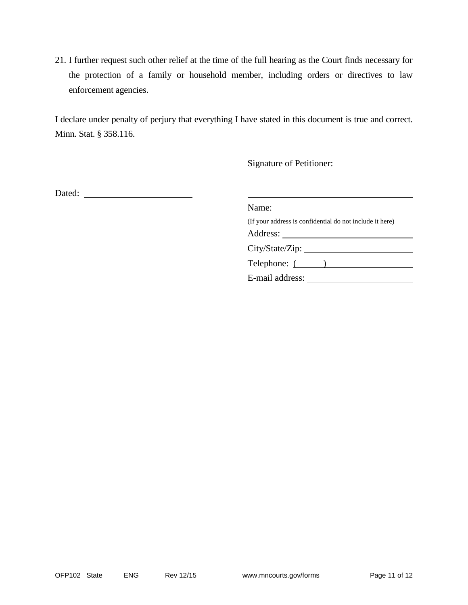21. I further request such other relief at the time of the full hearing as the Court finds necessary for the protection of a family or household member, including orders or directives to law enforcement agencies.

I declare under penalty of perjury that everything I have stated in this document is true and correct. Minn. Stat. § 358.116.

Signature of Petitioner:

Dated:

| Name:                                                    |
|----------------------------------------------------------|
| (If your address is confidential do not include it here) |
|                                                          |
|                                                          |
| Telephone: ( )                                           |
| E-mail address:                                          |